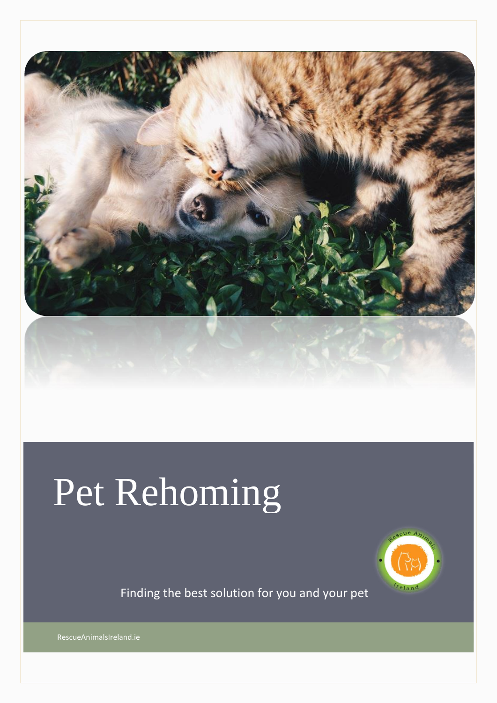

# Pet Rehoming



Finding the best solution for you and your pet

RescueAnimalsIreland.ie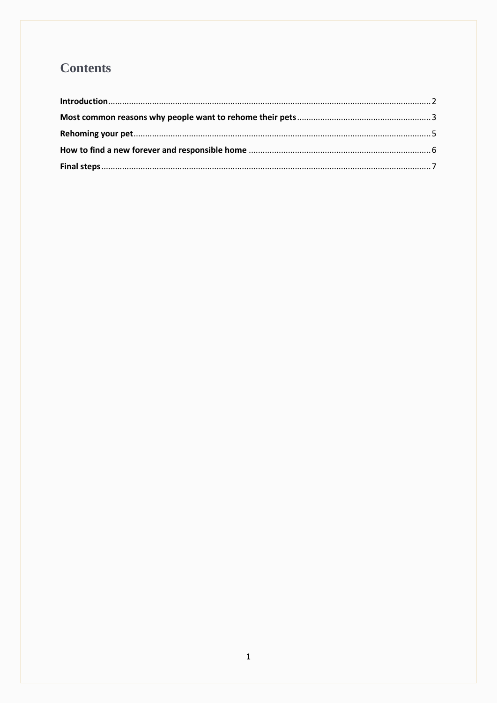## **Contents**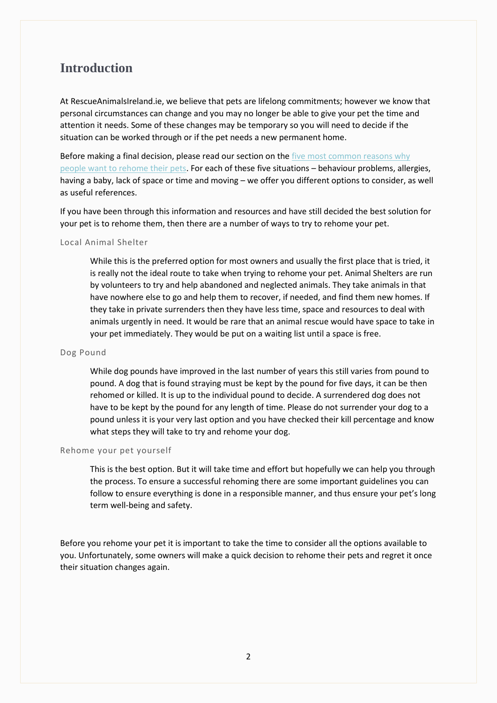## <span id="page-2-0"></span>**Introduction**

At RescueAnimalsIreland.ie, we believe that pets are lifelong commitments; however we know that personal circumstances can change and you may no longer be able to give your pet the time and attention it needs. Some of these changes may be temporary so you will need to decide if the situation can be worked through or if the pet needs a new permanent home.

Before making a final decision, please read our section on the five most common reasons why [people want to rehome their pets.](#page-3-1) For each of these five situations – behaviour problems, allergies, having a baby, lack of space or time and moving – we offer you different options to consider, as well as useful references.

If you have been through this information and resources and have still decided the best solution for your pet is to rehome them, then there are a number of ways to try to rehome your pet.

#### Local Animal Shelter

While this is the preferred option for most owners and usually the first place that is tried, it is really not the ideal route to take when trying to rehome your pet. Animal Shelters are run by volunteers to try and help abandoned and neglected animals. They take animals in that have nowhere else to go and help them to recover, if needed, and find them new homes. If they take in private surrenders then they have less time, space and resources to deal with animals urgently in need. It would be rare that an animal rescue would have space to take in your pet immediately. They would be put on a waiting list until a space is free.

#### Dog Pound

While dog pounds have improved in the last number of years this still varies from pound to pound. A dog that is found straying must be kept by the pound for five days, it can be then rehomed or killed. It is up to the individual pound to decide. A surrendered dog does not have to be kept by the pound for any length of time. Please do not surrender your dog to a pound unless it is your very last option and you have checked their kill percentage and know what steps they will take to try and rehome your dog.

#### Rehome your pet yourself

This is the best option. But it will take time and effort but hopefully we can help you through the process. To ensure a successful rehoming there are some important guidelines you can follow to ensure everything is done in a responsible manner, and thus ensure your pet's long term well-being and safety.

Before you rehome your pet it is important to take the time to consider all the options available to you. Unfortunately, some owners will make a quick decision to rehome their pets and regret it once their situation changes again.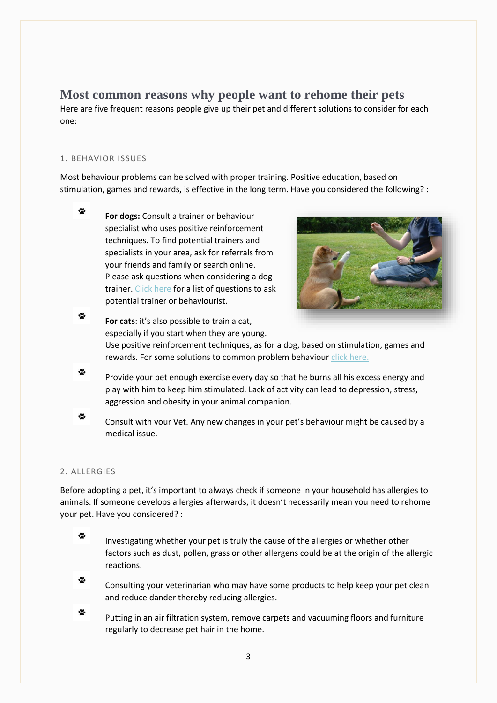## <span id="page-3-1"></span><span id="page-3-0"></span>**Most common reasons why people want to rehome their pets**

Here are five frequent reasons people give up their pet and different solutions to consider for each one:

#### 1. BEHAVIOR ISSUES

Most behaviour problems can be solved with proper training. Positive education, based on stimulation, games and rewards, is effective in the long term. Have you considered the following? :

 $\mathbf{r}$ **For dogs:** Consult a trainer or behaviour specialist who uses positive reinforcement techniques. To find potential trainers and specialists in your area, ask for referrals from your friends and family or search online. Please ask questions when considering a dog trainer. [Click here](https://iheartdogs.com/10-questions-to-ask-your-new-dog-trainer/) for a list of questions to ask potential trainer or behaviourist.



 $\ddot{\mathbf{x}}$ **For cats**: it's also possible to train a cat, especially if you start when they are young. Use positive reinforcement techniques, as for a dog, based on stimulation, games and rewards. For some solutions to common problem behaviour [click here.](https://icatcare.org/advice/problem-behaviour)

 $\mathbf{M}$ Provide your pet enough exercise every day so that he burns all his excess energy and play with him to keep him stimulated. Lack of activity can lead to depression, stress, aggression and obesity in your animal companion.

 $\mathbf{r}$ Consult with your Vet. Any new changes in your pet's behaviour might be caused by a medical issue.

#### 2. ALLERGIES

Before adopting a pet, it's important to always check if someone in your household has allergies to animals. If someone develops allergies afterwards, it doesn't necessarily mean you need to rehome your pet. Have you considered? :

- $\ddot{\mathbf{x}}$ Investigating whether your pet is truly the cause of the allergies or whether other factors such as dust, pollen, grass or other allergens could be at the origin of the allergic reactions.
- $\mathbf{M}$ Consulting your veterinarian who may have some products to help keep your pet clean and reduce dander thereby reducing allergies.
- $\cdot \cdot$ Putting in an air filtration system, remove carpets and vacuuming floors and furniture regularly to decrease pet hair in the home.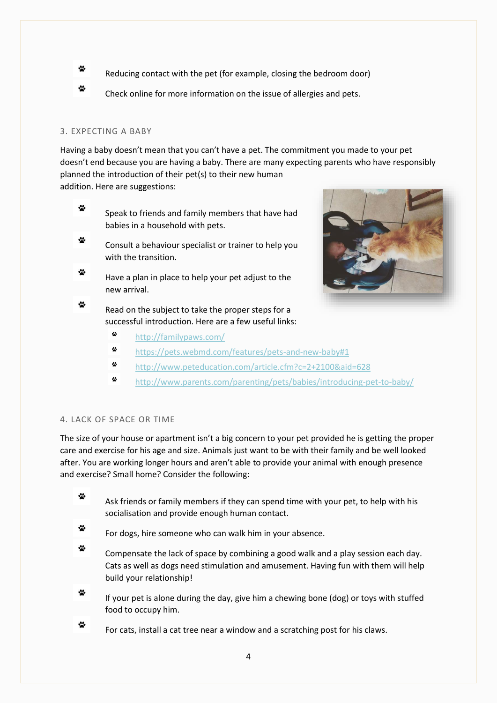- $\mathbf{M}$ Reducing contact with the pet (for example, closing the bedroom door)
- $\mathbf{v}_i$ Check online for more information on the issue of allergies and pets.

#### 3. EXPECTING A BABY

Having a baby doesn't mean that you can't have a pet. The commitment you made to your pet doesn't end because you are having a baby. There are many expecting parents who have responsibly planned the introduction of their pet(s) to their new human

addition. Here are suggestions:

- $\mathbf{v}$ Speak to friends and family members that have had babies in a household with pets.
- $\mathbf{C}$ Consult a behaviour specialist or trainer to help you with the transition.
- $\mathbf{S}$ Have a plan in place to help your pet adjust to the new arrival.

 $\mathbf{r}$ Read on the subject to take the proper steps for a successful introduction. Here are a few useful links:



- $\mathbf{r}$ <http://familypaws.com/>
- $\mathbf{r}$ <https://pets.webmd.com/features/pets-and-new-baby#1>
- ė. <http://www.peteducation.com/article.cfm?c=2+2100&aid=628>
- $\mathbf{r}$ <http://www.parents.com/parenting/pets/babies/introducing-pet-to-baby/>

#### 4. LACK OF SPACE OR TIME

The size of your house or apartment isn't a big concern to your pet provided he is getting the proper care and exercise for his age and size. Animals just want to be with their family and be well looked after. You are working longer hours and aren't able to provide your animal with enough presence and exercise? Small home? Consider the following:

- $\mathbf{M}$ Ask friends or family members if they can spend time with your pet, to help with his socialisation and provide enough human contact.
- $\mathbf{S}$ For dogs, hire someone who can walk him in your absence.
- $\ddot{\bullet}$ Compensate the lack of space by combining a good walk and a play session each day. Cats as well as dogs need stimulation and amusement. Having fun with them will help build your relationship!
- $\mathbf{v}$ If your pet is alone during the day, give him a chewing bone (dog) or toys with stuffed food to occupy him.
- $\mathbf{r}$ For cats, install a cat tree near a window and a scratching post for his claws.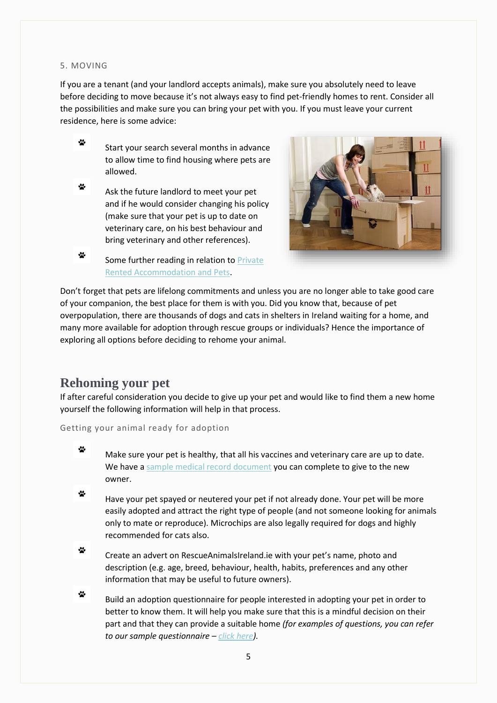#### 5. MOVING

If you are a tenant (and your landlord accepts animals), make sure you absolutely need to leave before deciding to move because it's not always easy to find pet-friendly homes to rent. Consider all the possibilities and make sure you can bring your pet with you. If you must leave your current residence, here is some advice:

- $\mathbf{M}$ Start your search several months in advance to allow time to find housing where pets are allowed.
- $\mathbf{r}$ Ask the future landlord to meet your pet and if he would consider changing his policy (make sure that your pet is up to date on veterinary care, on his best behaviour and bring veterinary and other references).



 $\ddot{\mathbf{x}}$ Some further reading in relation to [Private](https://www.threshold.ie/advice/seeking-private-rented-accommodation/private-rented-accommodation-and-pets/)  [Rented Accommodation and Pets.](https://www.threshold.ie/advice/seeking-private-rented-accommodation/private-rented-accommodation-and-pets/)

Don't forget that pets are lifelong commitments and unless you are no longer able to take good care of your companion, the best place for them is with you. Did you know that, because of pet overpopulation, there are thousands of dogs and cats in shelters in Ireland waiting for a home, and many more available for adoption through rescue groups or individuals? Hence the importance of exploring all options before deciding to rehome your animal.

### <span id="page-5-0"></span>**Rehoming your pet**

If after careful consideration you decide to give up your pet and would like to find them a new home yourself the following information will help in that process.

Getting your animal ready for adoption

- $\ddot{\bullet}$ Make sure your pet is healthy, that all his vaccines and veterinary care are up to date. We have [a sample medical record document](http://www.classifieds.rescueanimalsireland.ie/images/Documents/MedicalRecord.pdf) you can complete to give to the new owner.
- $\mathcal{L}$ Have your pet spayed or neutered your pet if not already done. Your pet will be more easily adopted and attract the right type of people (and not someone looking for animals only to mate or reproduce). Microchips are also legally required for dogs and highly recommended for cats also.
- $\mathcal{L}$ Create an advert on RescueAnimalsIreland.ie with your pet's name, photo and description (e.g. age, breed, behaviour, health, habits, preferences and any other information that may be useful to future owners).
- $\mathbf{r}$ Build an adoption questionnaire for people interested in adopting your pet in order to better to know them. It will help you make sure that this is a mindful decision on their part and that they can provide a suitable home *(for examples of questions, you can refer to our sample questionnaire – [click here\)](http://www.classifieds.rescueanimalsireland.ie/index.php/rehome-your-pet/documents).*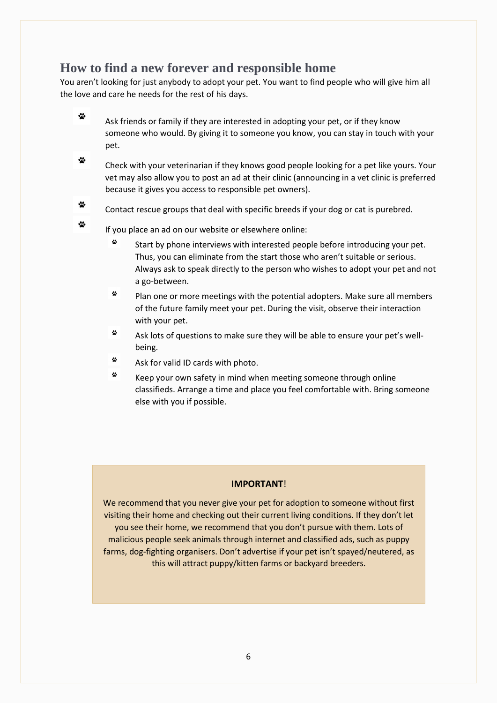## <span id="page-6-0"></span>**How to find a new forever and responsible home**

You aren't looking for just anybody to adopt your pet. You want to find people who will give him all the love and care he needs for the rest of his days.

- $\mathbf{S}$ Ask friends or family if they are interested in adopting your pet, or if they know someone who would. By giving it to someone you know, you can stay in touch with your pet.
- $\mathbf{w}$ Check with your veterinarian if they knows good people looking for a pet like yours. Your vet may also allow you to post an ad at their clinic (announcing in a vet clinic is preferred because it gives you access to responsible pet owners).
- $\mathbf{v}_i$ Contact rescue groups that deal with specific breeds if your dog or cat is purebred.
- $\mathbf{r}$ If you place an ad on our website or elsewhere online:
	- Ŷ. Start by phone interviews with interested people before introducing your pet. Thus, you can eliminate from the start those who aren't suitable or serious. Always ask to speak directly to the person who wishes to adopt your pet and not a go-between.
	- $\mathbf{w}$ Plan one or more meetings with the potential adopters. Make sure all members of the future family meet your pet. During the visit, observe their interaction with your pet.
	- ÷ Ask lots of questions to make sure they will be able to ensure your pet's wellbeing.
	- $\mathbf{w}$ Ask for valid ID cards with photo.
	- $\mathbf{r}$ Keep your own safety in mind when meeting someone through online classifieds. Arrange a time and place you feel comfortable with. Bring someone else with you if possible.

#### **IMPORTANT**!

We recommend that you never give your pet for adoption to someone without first visiting their home and checking out their current living conditions. If they don't let you see their home, we recommend that you don't pursue with them. Lots of malicious people seek animals through internet and classified ads, such as puppy farms, dog-fighting organisers. Don't advertise if your pet isn't spayed/neutered, as this will attract puppy/kitten farms or backyard breeders.